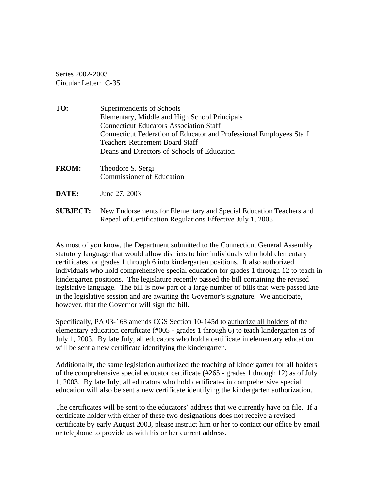Series 2002-2003 Circular Letter: C-35

**TO:** Superintendents of Schools Elementary, Middle and High School Principals Connecticut Educators Association Staff Connecticut Federation of Educator and Professional Employees Staff Teachers Retirement Board Staff Deans and Directors of Schools of Education **FROM:** Theodore S. Sergi Commissioner of Education

- **DATE:** June 27, 2003
- **SUBJECT:** New Endorsements for Elementary and Special Education Teachers and Repeal of Certification Regulations Effective July 1, 2003

As most of you know, the Department submitted to the Connecticut General Assembly statutory language that would allow districts to hire individuals who hold elementary certificates for grades 1 through 6 into kindergarten positions. It also authorized individuals who hold comprehensive special education for grades 1 through 12 to teach in kindergarten positions. The legislature recently passed the bill containing the revised legislative language. The bill is now part of a large number of bills that were passed late in the legislative session and are awaiting the Governor's signature. We anticipate, however, that the Governor will sign the bill.

Specifically, PA 03-168 amends CGS Section 10-145d to authorize all holders of the elementary education certificate (#005 - grades 1 through 6) to teach kindergarten as of July 1, 2003. By late July, all educators who hold a certificate in elementary education will be sent a new certificate identifying the kindergarten.

Additionally, the same legislation authorized the teaching of kindergarten for all holders of the comprehensive special educator certificate (#265 - grades 1 through 12) as of July 1, 2003. By late July, all educators who hold certificates in comprehensive special education will also be sent a new certificate identifying the kindergarten authorization.

The certificates will be sent to the educators' address that we currently have on file. If a certificate holder with either of these two designations does not receive a revised certificate by early August 2003, please instruct him or her to contact our office by email or telephone to provide us with his or her current address.